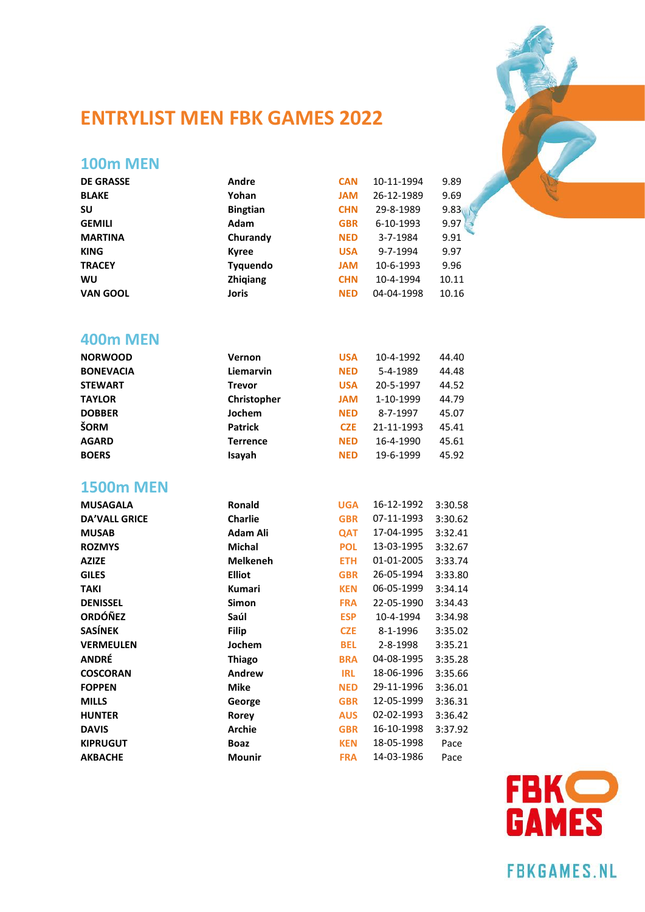

# **ENTRYLIST MEN FBK GAMES 2022**

### **100m MEN**

| <b>DE GRASSE</b> | Andre           | <b>CAN</b> | 10-11-1994 | 9.89  |
|------------------|-----------------|------------|------------|-------|
| <b>BLAKE</b>     | Yohan           | <b>JAM</b> | 26-12-1989 | 9.69  |
| SU               | <b>Bingtian</b> | <b>CHN</b> | 29-8-1989  | 9.83  |
| <b>GEMILI</b>    | Adam            | <b>GBR</b> | 6-10-1993  | 9.97  |
| <b>MARTINA</b>   | Churandy        | <b>NED</b> | 3-7-1984   | 9.91  |
| <b>KING</b>      | <b>Kyree</b>    | <b>USA</b> | 9-7-1994   | 9.97  |
| <b>TRACEY</b>    | <b>Tyquendo</b> | <b>MAL</b> | 10-6-1993  | 9.96  |
| WU               | <b>Zhigiang</b> | <b>CHN</b> | 10-4-1994  | 10.11 |
| <b>VAN GOOL</b>  | Joris           | <b>NED</b> | 04-04-1998 | 10.16 |
|                  |                 |            |            |       |

#### **400m MEN**

| <b>NORWOOD</b>   | Vernon          | <b>USA</b> | 10-4-1992  | 44.40 |
|------------------|-----------------|------------|------------|-------|
| <b>BONEVACIA</b> | Liemarvin       | <b>NED</b> | 5-4-1989   | 44.48 |
| <b>STEWART</b>   | <b>Trevor</b>   | <b>USA</b> | 20-5-1997  | 44.52 |
| <b>TAYLOR</b>    | Christopher     | <b>JAM</b> | 1-10-1999  | 44.79 |
| <b>DOBBER</b>    | Jochem          | <b>NED</b> | 8-7-1997   | 45.07 |
| ŠORM             | <b>Patrick</b>  | <b>CZE</b> | 21-11-1993 | 45.41 |
| <b>AGARD</b>     | <b>Terrence</b> | <b>NED</b> | 16-4-1990  | 45.61 |
| <b>BOERS</b>     | Isayah          | <b>NED</b> | 19-6-1999  | 45.92 |
|                  |                 |            |            |       |

#### **1500m MEN**

| <b>MUSAGALA</b>      | Ronald          | <b>UGA</b> | 16-12-1992 | 3:30.58 |
|----------------------|-----------------|------------|------------|---------|
| <b>DA'VALL GRICE</b> | <b>Charlie</b>  | <b>GBR</b> | 07-11-1993 | 3:30.62 |
| <b>MUSAB</b>         | <b>Adam Ali</b> | <b>QAT</b> | 17-04-1995 | 3:32.41 |
| <b>ROZMYS</b>        | Michal          | <b>POL</b> | 13-03-1995 | 3:32.67 |
| <b>AZIZE</b>         | <b>Melkeneh</b> | <b>ETH</b> | 01-01-2005 | 3:33.74 |
| <b>GILES</b>         | <b>Elliot</b>   | <b>GBR</b> | 26-05-1994 | 3:33.80 |
| <b>TAKI</b>          | Kumari          | <b>KEN</b> | 06-05-1999 | 3:34.14 |
| <b>DENISSEL</b>      | <b>Simon</b>    | <b>FRA</b> | 22-05-1990 | 3:34.43 |
| <b>ORDÓÑEZ</b>       | Saúl            | <b>ESP</b> | 10-4-1994  | 3:34.98 |
| <b>SASÍNEK</b>       | <b>Filip</b>    | <b>CZE</b> | 8-1-1996   | 3:35.02 |
| <b>VERMEULEN</b>     | Jochem          | <b>BEL</b> | 2-8-1998   | 3:35.21 |
| <b>ANDRÉ</b>         | <b>Thiago</b>   | <b>BRA</b> | 04-08-1995 | 3:35.28 |
| <b>COSCORAN</b>      | Andrew          | <b>IRL</b> | 18-06-1996 | 3:35.66 |
| <b>FOPPEN</b>        | <b>Mike</b>     | <b>NED</b> | 29-11-1996 | 3:36.01 |
| <b>MILLS</b>         | George          | <b>GBR</b> | 12-05-1999 | 3:36.31 |
| <b>HUNTER</b>        | Rorey           | <b>AUS</b> | 02-02-1993 | 3:36.42 |
| <b>DAVIS</b>         | <b>Archie</b>   | <b>GBR</b> | 16-10-1998 | 3:37.92 |
| <b>KIPRUGUT</b>      | <b>Boaz</b>     | <b>KEN</b> | 18-05-1998 | Pace    |
| <b>AKBACHE</b>       | <b>Mounir</b>   | <b>FRA</b> | 14-03-1986 | Pace    |
|                      |                 |            |            |         |



**FBKGAMES.NL**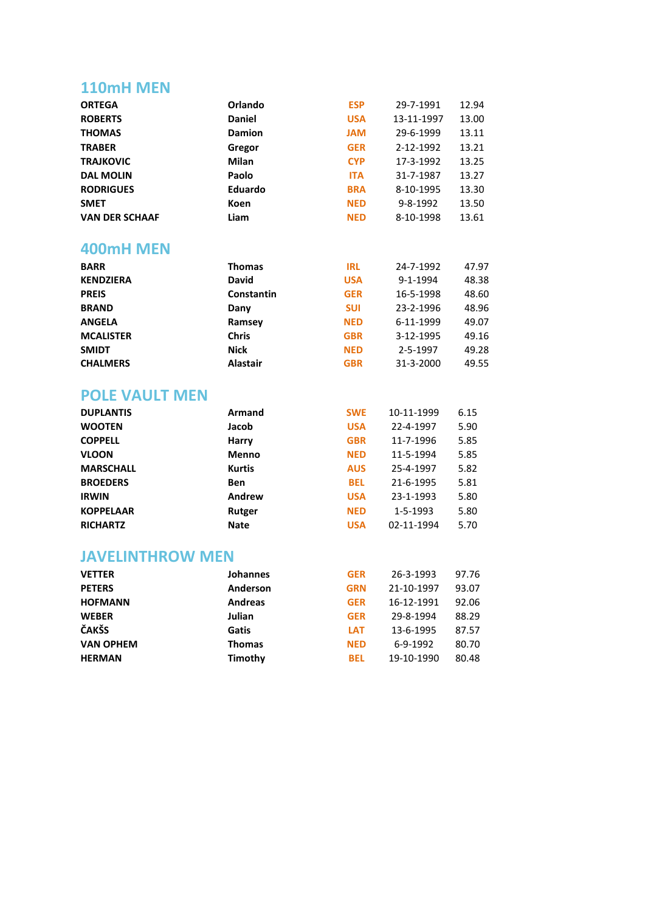# **110mH MEN**

| <b>ORTEGA</b>           | Orlando         | <b>ESP</b> | 29-7-1991  | 12.94 |
|-------------------------|-----------------|------------|------------|-------|
| <b>ROBERTS</b>          | <b>Daniel</b>   | <b>USA</b> | 13-11-1997 | 13.00 |
| <b>THOMAS</b>           | <b>Damion</b>   | <b>JAM</b> | 29-6-1999  | 13.11 |
| <b>TRABER</b>           | Gregor          | <b>GER</b> | 2-12-1992  | 13.21 |
| <b>TRAJKOVIC</b>        | Milan           | <b>CYP</b> | 17-3-1992  | 13.25 |
| <b>DAL MOLIN</b>        | Paolo           | <b>ITA</b> | 31-7-1987  | 13.27 |
| <b>RODRIGUES</b>        | Eduardo         | <b>BRA</b> | 8-10-1995  | 13.30 |
| <b>SMET</b>             | <b>Koen</b>     | <b>NED</b> | 9-8-1992   | 13.50 |
| <b>VAN DER SCHAAF</b>   | Liam            | <b>NED</b> | 8-10-1998  | 13.61 |
| 400mH MEN               |                 |            |            |       |
| <b>BARR</b>             | <b>Thomas</b>   | <b>IRL</b> | 24-7-1992  | 47.97 |
| <b>KENDZIERA</b>        | <b>David</b>    | <b>USA</b> | 9-1-1994   | 48.38 |
| <b>PREIS</b>            | Constantin      | <b>GER</b> | 16-5-1998  | 48.60 |
| <b>BRAND</b>            | Dany            | <b>SUI</b> | 23-2-1996  | 48.96 |
| <b>ANGELA</b>           | Ramsey          | <b>NED</b> | 6-11-1999  | 49.07 |
| <b>MCALISTER</b>        | <b>Chris</b>    | <b>GBR</b> | 3-12-1995  | 49.16 |
| <b>SMIDT</b>            | <b>Nick</b>     | <b>NED</b> | 2-5-1997   | 49.28 |
| <b>CHALMERS</b>         | <b>Alastair</b> | <b>GBR</b> | 31-3-2000  | 49.55 |
| <b>POLE VAULT MEN</b>   |                 |            |            |       |
| <b>DUPLANTIS</b>        | <b>Armand</b>   | <b>SWE</b> | 10-11-1999 | 6.15  |
| <b>WOOTEN</b>           | Jacob           | <b>USA</b> | 22-4-1997  | 5.90  |
| <b>COPPELL</b>          | <b>Harry</b>    | <b>GBR</b> | 11-7-1996  | 5.85  |
| <b>VLOON</b>            | Menno           | <b>NED</b> | 11-5-1994  | 5.85  |
| <b>MARSCHALL</b>        | <b>Kurtis</b>   | <b>AUS</b> | 25-4-1997  | 5.82  |
| <b>BROEDERS</b>         | <b>Ben</b>      | <b>BEL</b> | 21-6-1995  | 5.81  |
| <b>IRWIN</b>            | Andrew          | <b>USA</b> | 23-1-1993  | 5.80  |
| <b>KOPPELAAR</b>        | <b>Rutger</b>   | <b>NED</b> | 1-5-1993   | 5.80  |
| <b>RICHARTZ</b>         | <b>Nate</b>     | <b>USA</b> | 02-11-1994 | 5.70  |
| <b>JAVELINTHROW MEN</b> |                 |            |            |       |
| <b>VETTER</b>           | Johannes        | <b>GER</b> | 26-3-1993  | 97.76 |
| <b>PETERS</b>           | Anderson        | GRN        | 21-10-1997 | 93.07 |
| <b>HOFMANN</b>          | <b>Andreas</b>  | <b>GER</b> | 16-12-1991 | 92.06 |
| <b>WEBER</b>            | Julian          | <b>GER</b> | 29-8-1994  | 88.29 |
| <b>ČAKŠS</b>            | <b>Gatis</b>    | <b>LAT</b> | 13-6-1995  | 87.57 |
| <b>VAN OPHEM</b>        | <b>Thomas</b>   | <b>NED</b> | 6-9-1992   | 80.70 |
| <b>HERMAN</b>           | Timothy         | <b>BEL</b> | 19-10-1990 | 80.48 |
|                         |                 |            |            |       |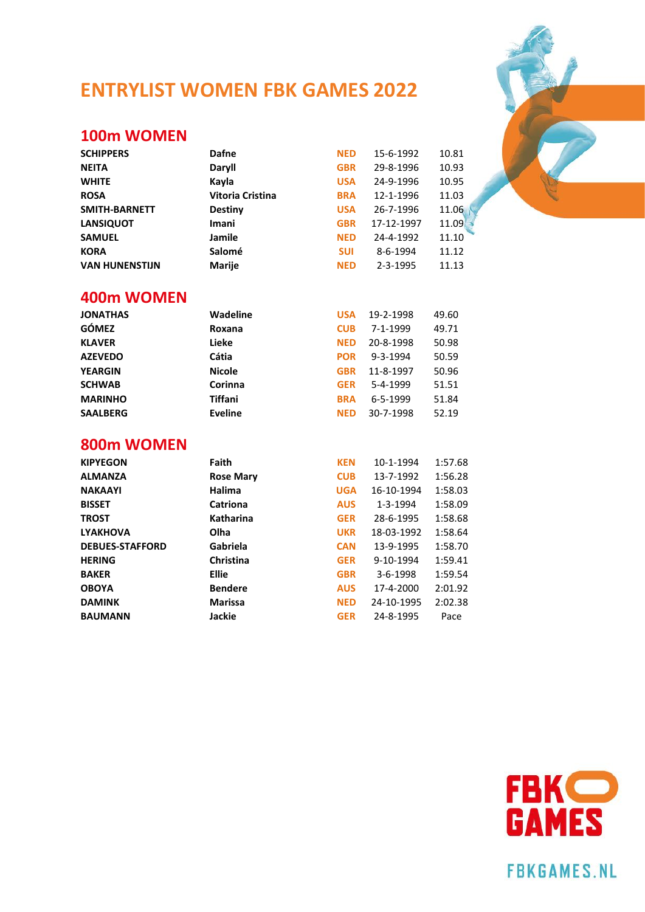# **ENTRYLIST WOMEN FBK GAMES 2022**

#### **100m WOMEN**

| <b>SCHIPPERS</b>      | Dafne                   | <b>NED</b> | 15-6-1992      | 10.81 |
|-----------------------|-------------------------|------------|----------------|-------|
| <b>NEITA</b>          | Daryll                  | <b>GBR</b> | 29-8-1996      | 10.93 |
| <b>WHITE</b>          | Kayla                   | <b>USA</b> | 24-9-1996      | 10.95 |
| <b>ROSA</b>           | <b>Vitoria Cristina</b> | <b>BRA</b> | 12-1-1996      | 11.03 |
| SMITH-BARNETT         | Destiny                 | <b>USA</b> | 26-7-1996      | 11.06 |
| <b>LANSIQUOT</b>      | <b>Imani</b>            | <b>GBR</b> | 17-12-1997     | 11.09 |
| <b>SAMUEL</b>         | Jamile                  | <b>NED</b> | 24-4-1992      | 11.10 |
| <b>KORA</b>           | Salomé                  | <b>SUI</b> | 8-6-1994       | 11.12 |
| <b>VAN HUNENSTIJN</b> | Marije                  | <b>NED</b> | $2 - 3 - 1995$ | 11.13 |

#### **400m WOMEN**

| <b>JONATHAS</b> | <b>Wadeline</b> | <b>USA</b> | 19-2-1998      | 49.60 |
|-----------------|-----------------|------------|----------------|-------|
| <b>GÓMEZ</b>    | Roxana          | <b>CUB</b> | 7-1-1999       | 49.71 |
| <b>KLAVER</b>   | Lieke           | <b>NED</b> | 20-8-1998      | 50.98 |
| <b>AZEVEDO</b>  | Cátia           | <b>POR</b> | 9-3-1994       | 50.59 |
| <b>YEARGIN</b>  | <b>Nicole</b>   | <b>GBR</b> | 11-8-1997      | 50.96 |
| <b>SCHWAB</b>   | Corinna         | <b>GER</b> | 5-4-1999       | 51.51 |
| <b>MARINHO</b>  | <b>Tiffani</b>  | <b>BRA</b> | $6 - 5 - 1999$ | 51.84 |
| <b>SAALBERG</b> | <b>Eveline</b>  | <b>NED</b> | 30-7-1998      | 52.19 |

#### **800m WOMEN**

| <b>KIPYEGON</b>        | Faith            | <b>KEN</b> | 10-1-1994      | 1:57.68 |
|------------------------|------------------|------------|----------------|---------|
| <b>ALMANZA</b>         | <b>Rose Mary</b> | <b>CUB</b> | 13-7-1992      | 1:56.28 |
| <b>NAKAAYI</b>         | Halima           | <b>UGA</b> | 16-10-1994     | 1:58.03 |
| <b>BISSET</b>          | Catriona         | <b>AUS</b> | 1-3-1994       | 1:58.09 |
| <b>TROST</b>           | Katharina        | <b>GER</b> | 28-6-1995      | 1:58.68 |
| <b>LYAKHOVA</b>        | Olha             | <b>UKR</b> | 18-03-1992     | 1:58.64 |
| <b>DEBUES-STAFFORD</b> | Gabriela         | <b>CAN</b> | 13-9-1995      | 1:58.70 |
| <b>HERING</b>          | Christina        | <b>GER</b> | 9-10-1994      | 1:59.41 |
| <b>BAKER</b>           | <b>Ellie</b>     | <b>GBR</b> | $3 - 6 - 1998$ | 1:59.54 |
| <b>OBOYA</b>           | <b>Bendere</b>   | <b>AUS</b> | 17-4-2000      | 2:01.92 |
| <b>DAMINK</b>          | <b>Marissa</b>   | <b>NED</b> | 24-10-1995     | 2:02.38 |
| <b>BAUMANN</b>         | Jackie           | <b>GER</b> | 24-8-1995      | Pace    |
|                        |                  |            |                |         |



**FBKGAMES.NL** 

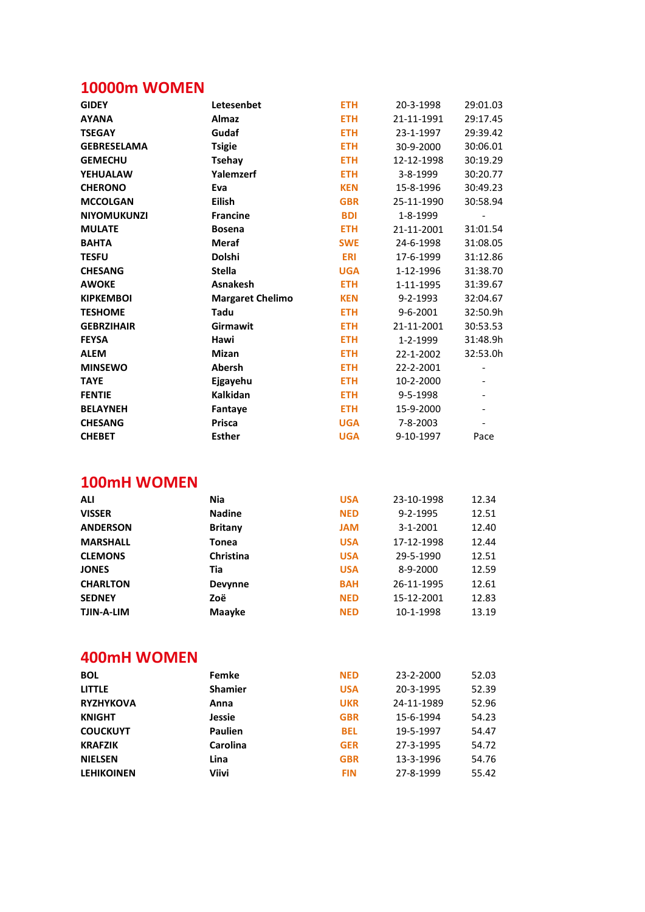# **10000m WOMEN**

| <b>GIDEY</b>       | Letesenbet              | <b>ETH</b> | 20-3-1998           | 29:01.03                     |
|--------------------|-------------------------|------------|---------------------|------------------------------|
| <b>AYANA</b>       | <b>Almaz</b>            | <b>ETH</b> | 21-11-1991          | 29:17.45                     |
| <b>TSEGAY</b>      | Gudaf                   | <b>ETH</b> | 23-1-1997           | 29:39.42                     |
| <b>GEBRESELAMA</b> | <b>Tsigie</b>           | <b>ETH</b> | 30-9-2000           | 30:06.01                     |
| <b>GEMECHU</b>     | <b>Tsehay</b>           | <b>ETH</b> | 12-12-1998          | 30:19.29                     |
| <b>YEHUALAW</b>    | Yalemzerf               | <b>ETH</b> | 3-8-1999            | 30:20.77                     |
| <b>CHERONO</b>     | Eva                     | <b>KEN</b> | 15-8-1996           | 30:49.23                     |
| <b>MCCOLGAN</b>    | <b>Eilish</b>           | <b>GBR</b> | 25-11-1990          | 30:58.94                     |
| <b>NIYOMUKUNZI</b> | <b>Francine</b>         | <b>BDI</b> | 1-8-1999            | $\qquad \qquad \blacksquare$ |
| <b>MULATE</b>      | <b>Bosena</b>           | <b>ETH</b> | 21-11-2001          | 31:01.54                     |
| <b>BAHTA</b>       | <b>Meraf</b>            | <b>SWE</b> | 24-6-1998           | 31:08.05                     |
| <b>TESFU</b>       | Dolshi                  | <b>ERI</b> | 17-6-1999           | 31:12.86                     |
| <b>CHESANG</b>     | <b>Stella</b>           | <b>UGA</b> | 1-12-1996           | 31:38.70                     |
| <b>AWOKE</b>       | <b>Asnakesh</b>         | <b>ETH</b> | 1-11-1995           | 31:39.67                     |
| <b>KIPKEMBOI</b>   | <b>Margaret Chelimo</b> | <b>KEN</b> | 9-2-1993            | 32:04.67                     |
| <b>TESHOME</b>     | Tadu                    | <b>ETH</b> | 9-6-2001            | 32:50.9h                     |
| <b>GEBRZIHAIR</b>  | Girmawit                | <b>ETH</b> | 21-11-2001          | 30:53.53                     |
| <b>FEYSA</b>       | Hawi                    | <b>ETH</b> | 1-2-1999            | 31:48.9h                     |
| <b>ALEM</b>        | <b>Mizan</b>            | <b>ETH</b> | 22-1-2002           | 32:53.0h                     |
| <b>MINSEWO</b>     | <b>Abersh</b>           | <b>ETH</b> | 22-2-2001           | $\overline{\phantom{0}}$     |
| <b>TAYE</b>        | Ejgayehu                | <b>ETH</b> | 10-2-2000           | $\overline{\phantom{0}}$     |
| <b>FENTIE</b>      | <b>Kalkidan</b>         | <b>ETH</b> | 9-5-1998            |                              |
| <b>BELAYNEH</b>    | Fantaye                 | <b>ETH</b> | 15-9-2000           |                              |
| <b>CHESANG</b>     | <b>Prisca</b>           | <b>UGA</b> | 7-8-2003            |                              |
| <b>CHEBET</b>      | <b>Esther</b>           | <b>UGA</b> | 9-10-1997           | Pace                         |
|                    |                         |            |                     |                              |
| <b>100mH WOMEN</b> |                         |            |                     |                              |
| <b>ALI</b>         | <b>Nia</b>              | <b>USA</b> | 23-10-1998          | 12.34                        |
| <b>VISSER</b>      | <b>Nadine</b>           | <b>NED</b> | 9-2-1995            | 12.51                        |
| <b>ANDERSON</b>    | <b>Britany</b>          | <b>JAM</b> | 3-1-2001            | 12.40                        |
| <b>MARSHALL</b>    | <b>Tonea</b>            | <b>USA</b> | 17-12-1998          | 12.44                        |
| <b>CLEMONS</b>     | Christina               | <b>USA</b> | 29-5-1990           | 12.51                        |
| <b>JONES</b>       | Tia                     | <b>USA</b> | 8-9-2000            | 12.59                        |
| <b>CHARLTON</b>    | Devynne                 | <b>BAH</b> | 26-11-1995          | 12.61                        |
| <b>SEDNEY</b>      | Zoë                     | <b>NED</b> | 15-12-2001          | 12.83                        |
| TJIN-A-LIM         | <b>Maayke</b>           | <b>NED</b> | 10-1-1998           | 13.19                        |
|                    |                         |            |                     |                              |
| <b>400mH WOMEN</b> |                         |            |                     |                              |
| <b>BOL</b>         | Femke                   |            | NED 23-2-2000 52.03 |                              |

| <b>BOL</b>        | Femke          | NED        | 23-2-2000  | 52.03 |
|-------------------|----------------|------------|------------|-------|
| <b>LITTLE</b>     | <b>Shamier</b> | <b>USA</b> | 20-3-1995  | 52.39 |
| <b>RYZHYKOVA</b>  | Anna           | <b>UKR</b> | 24-11-1989 | 52.96 |
| <b>KNIGHT</b>     | Jessie         | <b>GBR</b> | 15-6-1994  | 54.23 |
| <b>COUCKUYT</b>   | <b>Paulien</b> | <b>BEL</b> | 19-5-1997  | 54.47 |
| <b>KRAFZIK</b>    | Carolina       | <b>GER</b> | 27-3-1995  | 54.72 |
| <b>NIELSEN</b>    | Lina           | <b>GBR</b> | 13-3-1996  | 54.76 |
| <b>LEHIKOINEN</b> | Viivi          | <b>FIN</b> | 27-8-1999  | 55.42 |
|                   |                |            |            |       |